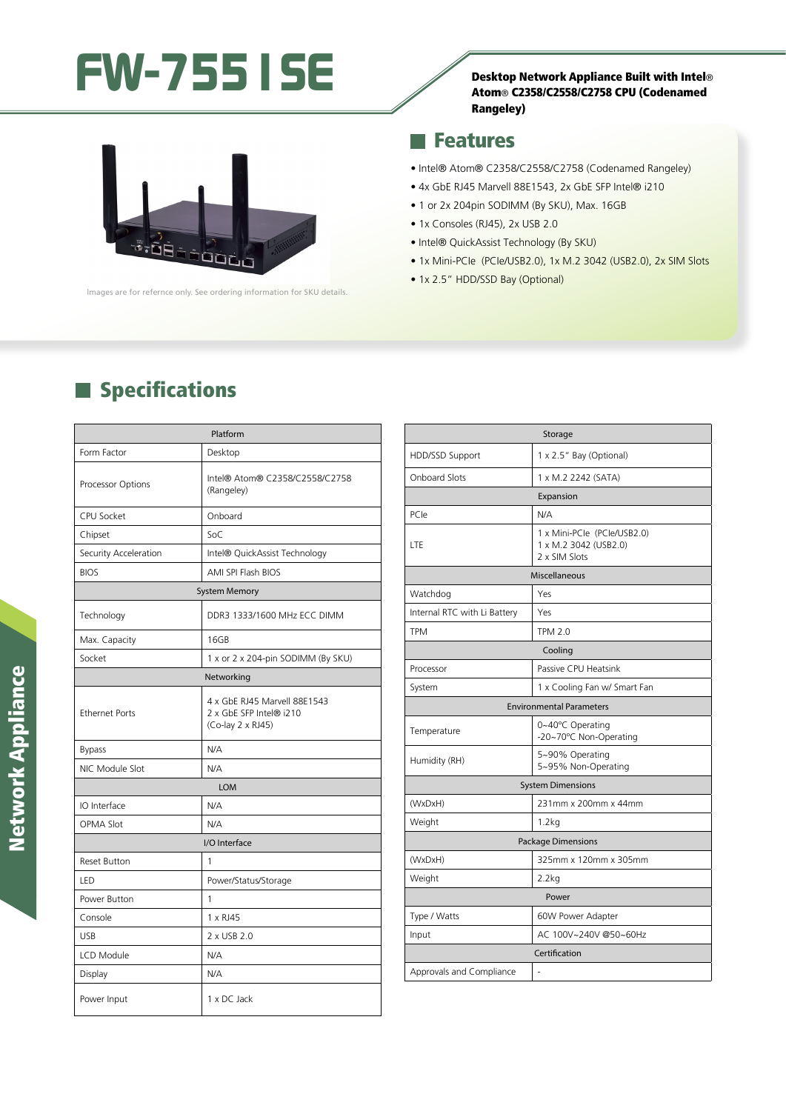# FW-7551SE SE





lmages are for refernce only. See ordering information for SKU details.

#### **Features**

- Intel® Atom® C2358/C2558/C2758 (Codenamed Rangeley)
- 4x GbE RJ45 Marvell 88E1543, 2x GbE SFP Intel® i210
- 1 or 2x 204pin SODIMM (By SKU), Max. 16GB
- 1x Consoles (RJ45), 2x USB 2.0
- Intel® QuickAssist Technology (By SKU)
- 1x Mini-PCIe (PCIe/USB2.0), 1x M.2 3042 (USB2.0), 2x SIM Slots
- 1x 2.5" HDD/SSD Bay (Optional)

## **Specifications**

| Platform              |                                                                              |  |
|-----------------------|------------------------------------------------------------------------------|--|
| Form Factor           | Desktop                                                                      |  |
| Processor Options     | Intel® Atom® C2358/C2558/C2758<br>(Rangeley)                                 |  |
| CPU Socket            | Onboard                                                                      |  |
| Chipset               | SoC                                                                          |  |
| Security Acceleration | Intel® QuickAssist Technology                                                |  |
| <b>BIOS</b>           | AMI SPI Flash BIOS                                                           |  |
| <b>System Memory</b>  |                                                                              |  |
| Technology            | DDR3 1333/1600 MHz ECC DIMM                                                  |  |
| Max. Capacity         | 16GB                                                                         |  |
| Socket                | 1 x or 2 x 204-pin SODIMM (By SKU)                                           |  |
| Networking            |                                                                              |  |
| <b>Ethernet Ports</b> | 4 x GbE RJ45 Marvell 88E1543<br>2 x GbE SFP Intel® i210<br>(Co-lay 2 x RJ45) |  |
| <b>Bypass</b>         | N/A                                                                          |  |
| NIC Module Slot       | N/A                                                                          |  |
| <b>LOM</b>            |                                                                              |  |
| IO Interface          | N/A                                                                          |  |
| <b>OPMA Slot</b>      | N/A                                                                          |  |
| I/O Interface         |                                                                              |  |
| <b>Reset Button</b>   | 1                                                                            |  |
| LED                   | Power/Status/Storage                                                         |  |
| Power Button          | 1                                                                            |  |
| Console               | 1 x RJ45                                                                     |  |
| <b>USB</b>            | 2 x USB 2.0                                                                  |  |
| LCD Module            | N/A                                                                          |  |
| Display               | N/A                                                                          |  |
| Power Input           | 1 x DC Jack                                                                  |  |

| Storage                         |                                                                       |
|---------------------------------|-----------------------------------------------------------------------|
| HDD/SSD Support                 | 1 x 2.5" Bay (Optional)                                               |
| <b>Onboard Slots</b>            | 1 x M.2 2242 (SATA)                                                   |
| Expansion                       |                                                                       |
| PCIe                            | N/A                                                                   |
| LTE                             | 1 x Mini-PCle (PCle/USB2.0)<br>1 x M.2 3042 (USB2.0)<br>2 x SIM Slots |
| Miscellaneous                   |                                                                       |
| Watchdog                        | Yes                                                                   |
| Internal RTC with Li Battery    | Yes                                                                   |
| <b>TPM</b>                      | <b>TPM 2.0</b>                                                        |
| Cooling                         |                                                                       |
| Processor                       | Passive CPU Heatsink                                                  |
| System                          | 1 x Cooling Fan w/ Smart Fan                                          |
| <b>Environmental Parameters</b> |                                                                       |
| Temperature                     | 0~40°C Operating<br>-20~70°C Non-Operating                            |
| Humidity (RH)                   | 5~90% Operating<br>5~95% Non-Operating                                |
| <b>System Dimensions</b>        |                                                                       |
| (WxDxH)                         | 231mm x 200mm x 44mm                                                  |
| Weight                          | 1.2kg                                                                 |
| <b>Package Dimensions</b>       |                                                                       |
| (WxDxH)                         | 325mm x 120mm x 305mm                                                 |
| Weight                          | 2.2kg                                                                 |
| Power                           |                                                                       |
| Type / Watts                    | 60W Power Adapter                                                     |
| Input                           | AC 100V~240V @50~60Hz                                                 |
| Certification                   |                                                                       |
| Approvals and Compliance        | ä,                                                                    |